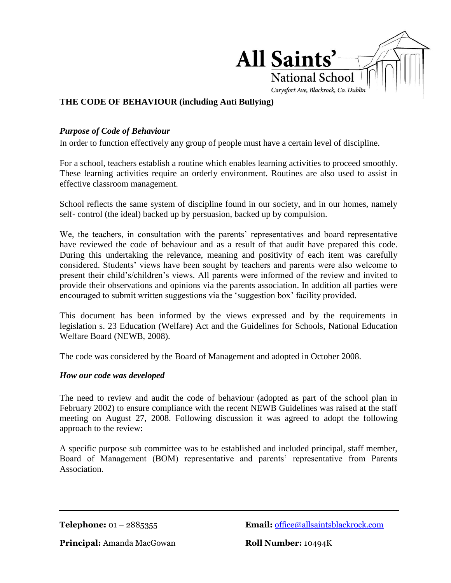

## **THE CODE OF BEHAVIOUR (including Anti Bullying)**

## *Purpose of Code of Behaviour*

In order to function effectively any group of people must have a certain level of discipline.

For a school, teachers establish a routine which enables learning activities to proceed smoothly. These learning activities require an orderly environment. Routines are also used to assist in effective classroom management.

School reflects the same system of discipline found in our society, and in our homes, namely self- control (the ideal) backed up by persuasion, backed up by compulsion.

We, the teachers, in consultation with the parents' representatives and board representative have reviewed the code of behaviour and as a result of that audit have prepared this code. During this undertaking the relevance, meaning and positivity of each item was carefully considered. Students' views have been sought by teachers and parents were also welcome to present their child's/children's views. All parents were informed of the review and invited to provide their observations and opinions via the parents association. In addition all parties were encouraged to submit written suggestions via the 'suggestion box' facility provided.

This document has been informed by the views expressed and by the requirements in legislation s. 23 Education (Welfare) Act and the Guidelines for Schools, National Education Welfare Board (NEWB, 2008).

The code was considered by the Board of Management and adopted in October 2008.

#### *How our code was developed*

The need to review and audit the code of behaviour (adopted as part of the school plan in February 2002) to ensure compliance with the recent NEWB Guidelines was raised at the staff meeting on August 27, 2008. Following discussion it was agreed to adopt the following approach to the review:

A specific purpose sub committee was to be established and included principal, staff member, Board of Management (BOM) representative and parents' representative from Parents Association.

**Telephone:** 01 – 2885355 **Email:** [office@allsaintsblackrock.com](mailto:office@allsaintsblackrock.com)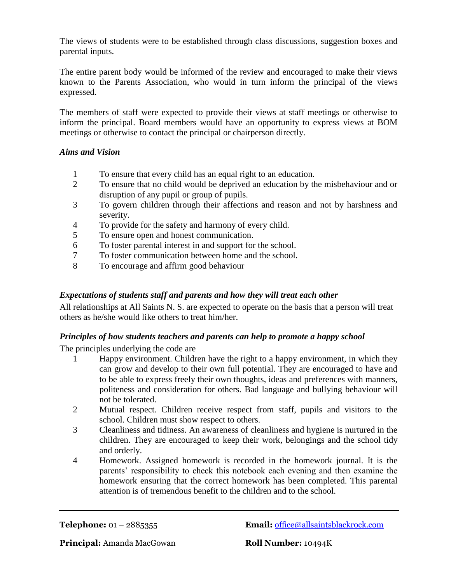The views of students were to be established through class discussions, suggestion boxes and parental inputs.

The entire parent body would be informed of the review and encouraged to make their views known to the Parents Association, who would in turn inform the principal of the views expressed.

The members of staff were expected to provide their views at staff meetings or otherwise to inform the principal. Board members would have an opportunity to express views at BOM meetings or otherwise to contact the principal or chairperson directly.

## *Aims and Vision*

- 1 To ensure that every child has an equal right to an education.
- 2 To ensure that no child would be deprived an education by the misbehaviour and or disruption of any pupil or group of pupils.
- 3 To govern children through their affections and reason and not by harshness and severity.
- 4 To provide for the safety and harmony of every child.
- 5 To ensure open and honest communication.
- 6 To foster parental interest in and support for the school.
- 7 To foster communication between home and the school.
- 8 To encourage and affirm good behaviour

## *Expectations of students staff and parents and how they will treat each other*

All relationships at All Saints N. S. are expected to operate on the basis that a person will treat others as he/she would like others to treat him/her.

## *Principles of how students teachers and parents can help to promote a happy school*

The principles underlying the code are

- 1 Happy environment. Children have the right to a happy environment, in which they can grow and develop to their own full potential. They are encouraged to have and to be able to express freely their own thoughts, ideas and preferences with manners, politeness and consideration for others. Bad language and bullying behaviour will not be tolerated.
- 2 Mutual respect. Children receive respect from staff, pupils and visitors to the school. Children must show respect to others.
- 3 Cleanliness and tidiness. An awareness of cleanliness and hygiene is nurtured in the children. They are encouraged to keep their work, belongings and the school tidy and orderly.
- 4 Homework. Assigned homework is recorded in the homework journal. It is the parents' responsibility to check this notebook each evening and then examine the homework ensuring that the correct homework has been completed. This parental attention is of tremendous benefit to the children and to the school.

**Telephone:** 01 – 2885355 **Email:** [office@allsaintsblackrock.com](mailto:office@allsaintsblackrock.com)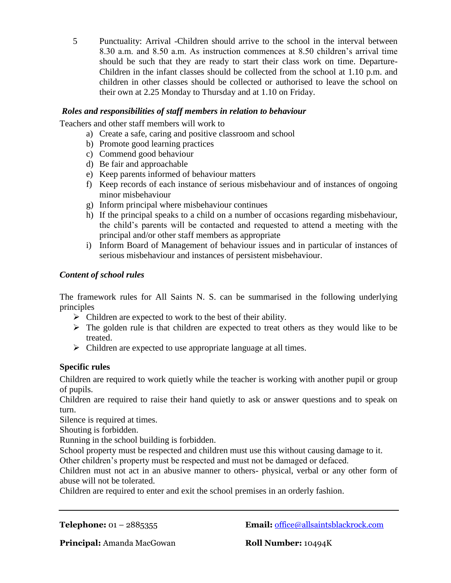5 Punctuality: Arrival -Children should arrive to the school in the interval between 8.30 a.m. and 8.50 a.m. As instruction commences at 8.50 children's arrival time should be such that they are ready to start their class work on time. Departure-Children in the infant classes should be collected from the school at 1.10 p.m. and children in other classes should be collected or authorised to leave the school on their own at 2.25 Monday to Thursday and at 1.10 on Friday.

## *Roles and responsibilities of staff members in relation to behaviour*

Teachers and other staff members will work to

- a) Create a safe, caring and positive classroom and school
- b) Promote good learning practices
- c) Commend good behaviour
- d) Be fair and approachable
- e) Keep parents informed of behaviour matters
- f) Keep records of each instance of serious misbehaviour and of instances of ongoing minor misbehaviour
- g) Inform principal where misbehaviour continues
- h) If the principal speaks to a child on a number of occasions regarding misbehaviour, the child's parents will be contacted and requested to attend a meeting with the principal and/or other staff members as appropriate
- i) Inform Board of Management of behaviour issues and in particular of instances of serious misbehaviour and instances of persistent misbehaviour.

## *Content of school rules*

The framework rules for All Saints N. S. can be summarised in the following underlying principles

- $\triangleright$  Children are expected to work to the best of their ability.
- $\triangleright$  The golden rule is that children are expected to treat others as they would like to be treated.
- $\triangleright$  Children are expected to use appropriate language at all times.

#### **Specific rules**

Children are required to work quietly while the teacher is working with another pupil or group of pupils.

Children are required to raise their hand quietly to ask or answer questions and to speak on turn.

Silence is required at times.

Shouting is forbidden.

Running in the school building is forbidden.

School property must be respected and children must use this without causing damage to it.

Other children's property must be respected and must not be damaged or defaced.

Children must not act in an abusive manner to others- physical, verbal or any other form of abuse will not be tolerated.

Children are required to enter and exit the school premises in an orderly fashion.

**Telephone:** 01 – 2885355 **Email:** [office@allsaintsblackrock.com](mailto:office@allsaintsblackrock.com)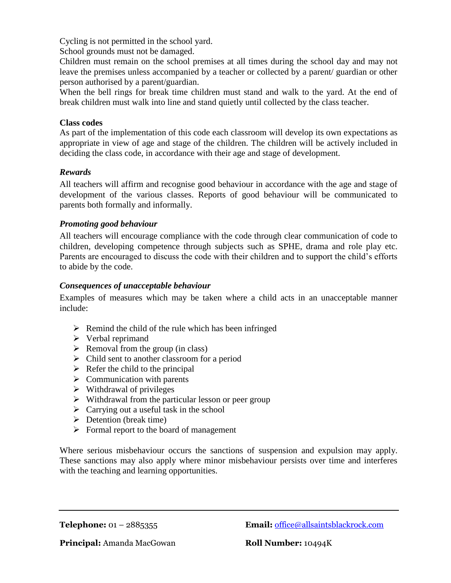Cycling is not permitted in the school yard.

School grounds must not be damaged.

Children must remain on the school premises at all times during the school day and may not leave the premises unless accompanied by a teacher or collected by a parent/ guardian or other person authorised by a parent/guardian.

When the bell rings for break time children must stand and walk to the yard. At the end of break children must walk into line and stand quietly until collected by the class teacher.

#### **Class codes**

As part of the implementation of this code each classroom will develop its own expectations as appropriate in view of age and stage of the children. The children will be actively included in deciding the class code, in accordance with their age and stage of development.

#### *Rewards*

All teachers will affirm and recognise good behaviour in accordance with the age and stage of development of the various classes. Reports of good behaviour will be communicated to parents both formally and informally.

#### *Promoting good behaviour*

All teachers will encourage compliance with the code through clear communication of code to children, developing competence through subjects such as SPHE, drama and role play etc. Parents are encouraged to discuss the code with their children and to support the child's efforts to abide by the code.

#### *Consequences of unacceptable behaviour*

Examples of measures which may be taken where a child acts in an unacceptable manner include:

- $\triangleright$  Remind the child of the rule which has been infringed
- $\triangleright$  Verbal reprimand
- $\triangleright$  Removal from the group (in class)
- $\triangleright$  Child sent to another classroom for a period
- $\triangleright$  Refer the child to the principal
- $\triangleright$  Communication with parents
- $\triangleright$  Withdrawal of privileges
- $\triangleright$  Withdrawal from the particular lesson or peer group
- $\triangleright$  Carrying out a useful task in the school
- $\triangleright$  Detention (break time)
- $\triangleright$  Formal report to the board of management

Where serious misbehaviour occurs the sanctions of suspension and expulsion may apply. These sanctions may also apply where minor misbehaviour persists over time and interferes with the teaching and learning opportunities.

**Telephone:** 01 – 2885355 **Email:** [office@allsaintsblackrock.com](mailto:office@allsaintsblackrock.com)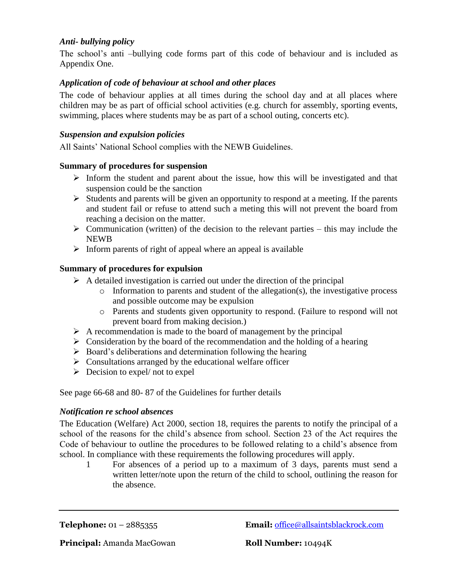## *Anti- bullying policy*

The school's anti –bullying code forms part of this code of behaviour and is included as Appendix One.

## *Application of code of behaviour at school and other places*

The code of behaviour applies at all times during the school day and at all places where children may be as part of official school activities (e.g. church for assembly, sporting events, swimming, places where students may be as part of a school outing, concerts etc).

#### *Suspension and expulsion policies*

All Saints' National School complies with the NEWB Guidelines.

#### **Summary of procedures for suspension**

- $\triangleright$  Inform the student and parent about the issue, how this will be investigated and that suspension could be the sanction
- $\triangleright$  Students and parents will be given an opportunity to respond at a meeting. If the parents and student fail or refuse to attend such a meting this will not prevent the board from reaching a decision on the matter.
- $\triangleright$  Communication (written) of the decision to the relevant parties this may include the NEWB
- $\triangleright$  Inform parents of right of appeal where an appeal is available

## **Summary of procedures for expulsion**

- $\triangleright$  A detailed investigation is carried out under the direction of the principal
	- o Information to parents and student of the allegation(s), the investigative process and possible outcome may be expulsion
	- o Parents and students given opportunity to respond. (Failure to respond will not prevent board from making decision.)
- $\triangleright$  A recommendation is made to the board of management by the principal
- $\triangleright$  Consideration by the board of the recommendation and the holding of a hearing
- $\triangleright$  Board's deliberations and determination following the hearing
- $\triangleright$  Consultations arranged by the educational welfare officer
- $\triangleright$  Decision to expel/ not to expel

See page 66-68 and 80- 87 of the Guidelines for further details

#### *Notification re school absences*

The Education (Welfare) Act 2000, section 18, requires the parents to notify the principal of a school of the reasons for the child's absence from school. Section 23 of the Act requires the Code of behaviour to outline the procedures to be followed relating to a child's absence from school. In compliance with these requirements the following procedures will apply.

1 For absences of a period up to a maximum of 3 days, parents must send a written letter/note upon the return of the child to school, outlining the reason for the absence.

**Telephone:** 01 – 2885355 **Email:** [office@allsaintsblackrock.com](mailto:office@allsaintsblackrock.com)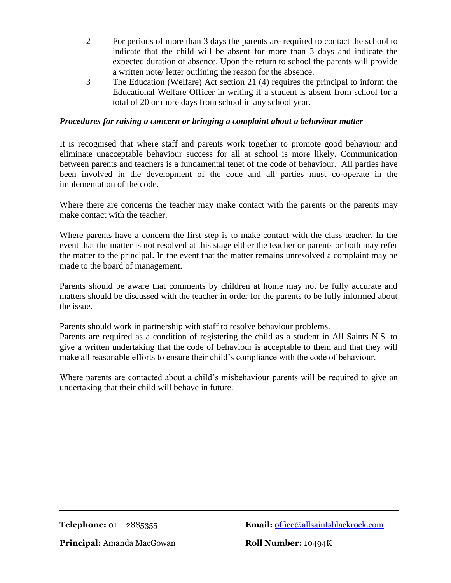- 2 For periods of more than 3 days the parents are required to contact the school to indicate that the child will be absent for more than 3 days and indicate the expected duration of absence. Upon the return to school the parents will provide a written note/ letter outlining the reason for the absence.
- 3 The Education (Welfare) Act section 21 (4) requires the principal to inform the Educational Welfare Officer in writing if a student is absent from school for a total of 20 or more days from school in any school year.

## *Procedures for raising a concern or bringing a complaint about a behaviour matter*

It is recognised that where staff and parents work together to promote good behaviour and eliminate unacceptable behaviour success for all at school is more likely. Communication between parents and teachers is a fundamental tenet of the code of behaviour. All parties have been involved in the development of the code and all parties must co-operate in the implementation of the code.

Where there are concerns the teacher may make contact with the parents or the parents may make contact with the teacher.

Where parents have a concern the first step is to make contact with the class teacher. In the event that the matter is not resolved at this stage either the teacher or parents or both may refer the matter to the principal. In the event that the matter remains unresolved a complaint may be made to the board of management.

Parents should be aware that comments by children at home may not be fully accurate and matters should be discussed with the teacher in order for the parents to be fully informed about the issue.

Parents should work in partnership with staff to resolve behaviour problems. Parents are required as a condition of registering the child as a student in All Saints N.S. to give a written undertaking that the code of behaviour is acceptable to them and that they will make all reasonable efforts to ensure their child's compliance with the code of behaviour.

Where parents are contacted about a child's misbehaviour parents will be required to give an undertaking that their child will behave in future.

**Telephone:** 01 – 2885355 **Email:** [office@allsaintsblackrock.com](mailto:office@allsaintsblackrock.com)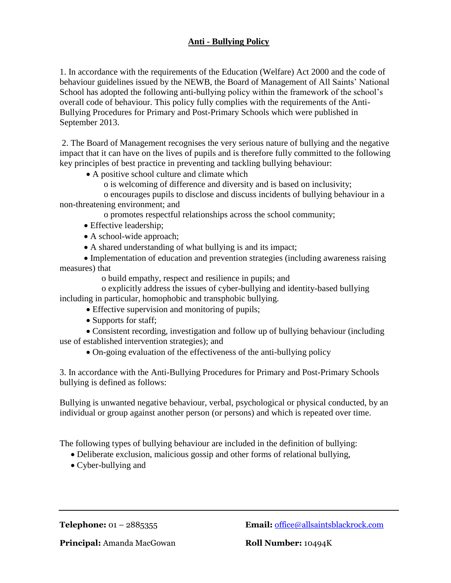# **Anti - Bullying Policy**

1. In accordance with the requirements of the Education (Welfare) Act 2000 and the code of behaviour guidelines issued by the NEWB, the Board of Management of All Saints' National School has adopted the following anti-bullying policy within the framework of the school's overall code of behaviour. This policy fully complies with the requirements of the Anti-Bullying Procedures for Primary and Post-Primary Schools which were published in September 2013.

2. The Board of Management recognises the very serious nature of bullying and the negative impact that it can have on the lives of pupils and is therefore fully committed to the following key principles of best practice in preventing and tackling bullying behaviour:

- A positive school culture and climate which
	- o is welcoming of difference and diversity and is based on inclusivity;

 o encourages pupils to disclose and discuss incidents of bullying behaviour in a non-threatening environment; and

- o promotes respectful relationships across the school community;
- Effective leadership;
- A school-wide approach;
- A shared understanding of what bullying is and its impact;

 Implementation of education and prevention strategies (including awareness raising measures) that

o build empathy, respect and resilience in pupils; and

 o explicitly address the issues of cyber-bullying and identity-based bullying including in particular, homophobic and transphobic bullying.

- Effective supervision and monitoring of pupils;
- Supports for staff;

 Consistent recording, investigation and follow up of bullying behaviour (including use of established intervention strategies); and

On-going evaluation of the effectiveness of the anti-bullying policy

3. In accordance with the Anti-Bullying Procedures for Primary and Post-Primary Schools bullying is defined as follows:

Bullying is unwanted negative behaviour, verbal, psychological or physical conducted, by an individual or group against another person (or persons) and which is repeated over time.

The following types of bullying behaviour are included in the definition of bullying:

- Deliberate exclusion, malicious gossip and other forms of relational bullying,
- Cyber-bullying and

**Telephone:** 01 – 2885355 **Email:** [office@allsaintsblackrock.com](mailto:office@allsaintsblackrock.com)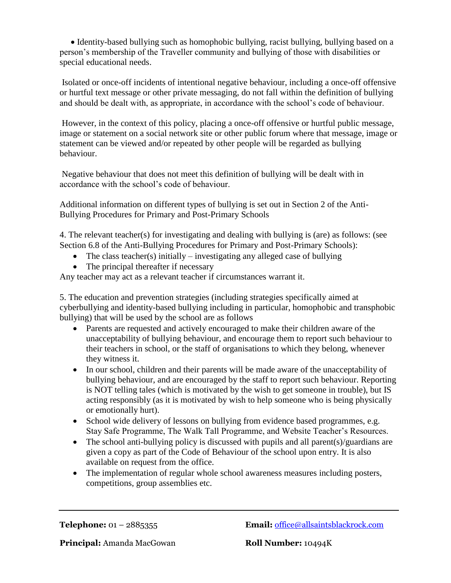Identity-based bullying such as homophobic bullying, racist bullying, bullying based on a person's membership of the Traveller community and bullying of those with disabilities or special educational needs.

Isolated or once-off incidents of intentional negative behaviour, including a once-off offensive or hurtful text message or other private messaging, do not fall within the definition of bullying and should be dealt with, as appropriate, in accordance with the school's code of behaviour.

However, in the context of this policy, placing a once-off offensive or hurtful public message, image or statement on a social network site or other public forum where that message, image or statement can be viewed and/or repeated by other people will be regarded as bullying behaviour.

Negative behaviour that does not meet this definition of bullying will be dealt with in accordance with the school's code of behaviour.

Additional information on different types of bullying is set out in Section 2 of the Anti-Bullying Procedures for Primary and Post-Primary Schools

4. The relevant teacher(s) for investigating and dealing with bullying is (are) as follows: (see Section 6.8 of the Anti-Bullying Procedures for Primary and Post-Primary Schools):

- The class teacher(s) initially investigating any alleged case of bullying
- The principal thereafter if necessary

Any teacher may act as a relevant teacher if circumstances warrant it.

5. The education and prevention strategies (including strategies specifically aimed at cyberbullying and identity-based bullying including in particular, homophobic and transphobic bullying) that will be used by the school are as follows

- Parents are requested and actively encouraged to make their children aware of the unacceptability of bullying behaviour, and encourage them to report such behaviour to their teachers in school, or the staff of organisations to which they belong, whenever they witness it.
- In our school, children and their parents will be made aware of the unacceptability of bullying behaviour, and are encouraged by the staff to report such behaviour. Reporting is NOT telling tales (which is motivated by the wish to get someone in trouble), but IS acting responsibly (as it is motivated by wish to help someone who is being physically or emotionally hurt).
- School wide delivery of lessons on bullying from evidence based programmes, e.g. Stay Safe Programme, The Walk Tall Programme, and Website Teacher's Resources.
- The school anti-bullying policy is discussed with pupils and all parent(s)/guardians are given a copy as part of the Code of Behaviour of the school upon entry. It is also available on request from the office.
- The implementation of regular whole school awareness measures including posters, competitions, group assemblies etc.

**Telephone:** 01 – 2885355 **Email:** [office@allsaintsblackrock.com](mailto:office@allsaintsblackrock.com)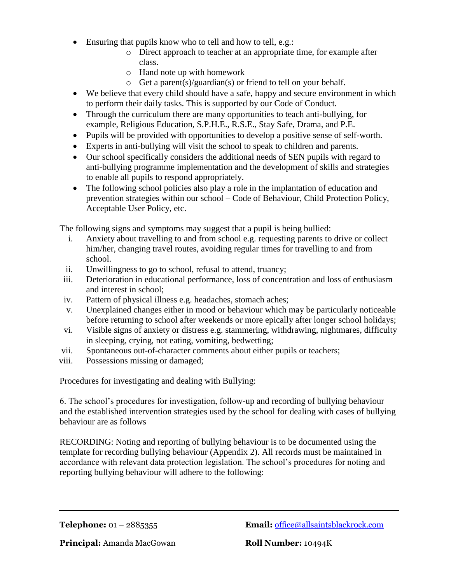- Ensuring that pupils know who to tell and how to tell, e.g.:
	- o Direct approach to teacher at an appropriate time, for example after class.
	- o Hand note up with homework
	- o Get a parent(s)/guardian(s) or friend to tell on your behalf.
- We believe that every child should have a safe, happy and secure environment in which to perform their daily tasks. This is supported by our Code of Conduct.
- Through the curriculum there are many opportunities to teach anti-bullying, for example, Religious Education, S.P.H.E., R.S.E., Stay Safe, Drama, and P.E.
- Pupils will be provided with opportunities to develop a positive sense of self-worth.
- Experts in anti-bullying will visit the school to speak to children and parents.
- Our school specifically considers the additional needs of SEN pupils with regard to anti-bullying programme implementation and the development of skills and strategies to enable all pupils to respond appropriately.
- The following school policies also play a role in the implantation of education and prevention strategies within our school – Code of Behaviour, Child Protection Policy, Acceptable User Policy, etc.

The following signs and symptoms may suggest that a pupil is being bullied:

- i. Anxiety about travelling to and from school e.g. requesting parents to drive or collect him/her, changing travel routes, avoiding regular times for travelling to and from school.
- ii. Unwillingness to go to school, refusal to attend, truancy;
- iii. Deterioration in educational performance, loss of concentration and loss of enthusiasm and interest in school;
- iv. Pattern of physical illness e.g. headaches, stomach aches;
- v. Unexplained changes either in mood or behaviour which may be particularly noticeable before returning to school after weekends or more epically after longer school holidays;
- vi. Visible signs of anxiety or distress e.g. stammering, withdrawing, nightmares, difficulty in sleeping, crying, not eating, vomiting, bedwetting;
- vii. Spontaneous out-of-character comments about either pupils or teachers;
- viii. Possessions missing or damaged;

Procedures for investigating and dealing with Bullying:

6. The school's procedures for investigation, follow-up and recording of bullying behaviour and the established intervention strategies used by the school for dealing with cases of bullying behaviour are as follows

RECORDING: Noting and reporting of bullying behaviour is to be documented using the template for recording bullying behaviour (Appendix 2). All records must be maintained in accordance with relevant data protection legislation. The school's procedures for noting and reporting bullying behaviour will adhere to the following:

**Telephone:** 01 – 2885355 **Email:** [office@allsaintsblackrock.com](mailto:office@allsaintsblackrock.com)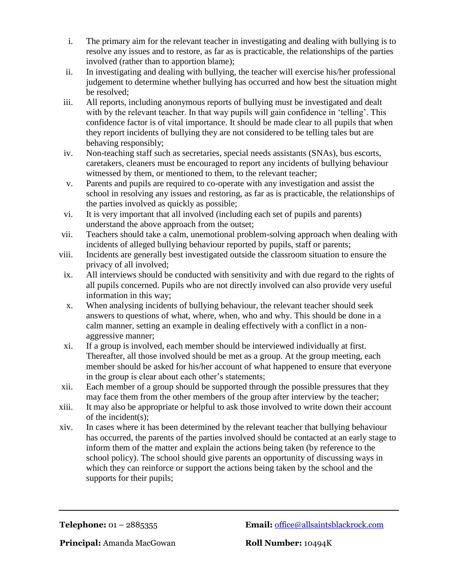- i. The primary aim for the relevant teacher in investigating and dealing with bullying is to resolve any issues and to restore, as far as is practicable, the relationships of the parties involved (rather than to apportion blame);
- ii. In investigating and dealing with bullying, the teacher will exercise his/her professional judgement to determine whether bullying has occurred and how best the situation might be resolved;
- iii. All reports, including anonymous reports of bullying must be investigated and dealt with by the relevant teacher. In that way pupils will gain confidence in 'telling'. This confidence factor is of vital importance. It should be made clear to all pupils that when they report incidents of bullying they are not considered to be telling tales but are behaving responsibly;
- iv. Non-teaching staff such as secretaries, special needs assistants (SNAs), bus escorts, caretakers, cleaners must be encouraged to report any incidents of bullying behaviour witnessed by them, or mentioned to them, to the relevant teacher;
- v. Parents and pupils are required to co-operate with any investigation and assist the school in resolving any issues and restoring, as far as is practicable, the relationships of the parties involved as quickly as possible;
- vi. It is very important that all involved (including each set of pupils and parents) understand the above approach from the outset;
- vii. Teachers should take a calm, unemotional problem-solving approach when dealing with incidents of alleged bullying behaviour reported by pupils, staff or parents;
- viii. Incidents are generally best investigated outside the classroom situation to ensure the privacy of all involved;
- ix. All interviews should be conducted with sensitivity and with due regard to the rights of all pupils concerned. Pupils who are not directly involved can also provide very useful information in this way;
- x. When analysing incidents of bullying behaviour, the relevant teacher should seek answers to questions of what, where, when, who and why. This should be done in a calm manner, setting an example in dealing effectively with a conflict in a nonaggressive manner;
- xi. If a group is involved, each member should be interviewed individually at first. Thereafter, all those involved should be met as a group. At the group meeting, each member should be asked for his/her account of what happened to ensure that everyone in the group is clear about each other's statements;
- xii. Each member of a group should be supported through the possible pressures that they may face them from the other members of the group after interview by the teacher;
- xiii. It may also be appropriate or helpful to ask those involved to write down their account of the incident(s);
- xiv. In cases where it has been determined by the relevant teacher that bullying behaviour has occurred, the parents of the parties involved should be contacted at an early stage to inform them of the matter and explain the actions being taken (by reference to the school policy). The school should give parents an opportunity of discussing ways in which they can reinforce or support the actions being taken by the school and the supports for their pupils;

**Telephone:** 01 – 2885355 **Email:** [office@allsaintsblackrock.com](mailto:office@allsaintsblackrock.com)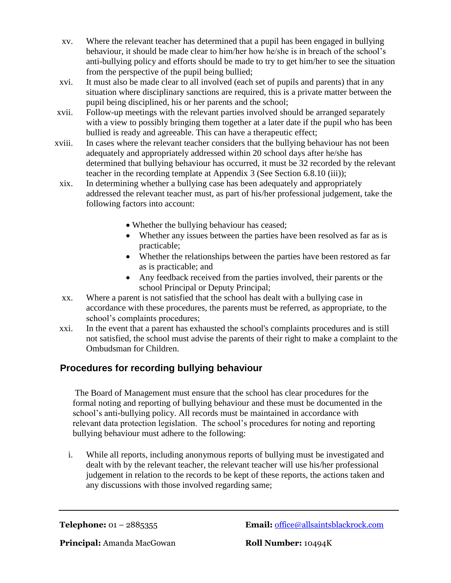- xv. Where the relevant teacher has determined that a pupil has been engaged in bullying behaviour, it should be made clear to him/her how he/she is in breach of the school's anti-bullying policy and efforts should be made to try to get him/her to see the situation from the perspective of the pupil being bullied;
- xvi. It must also be made clear to all involved (each set of pupils and parents) that in any situation where disciplinary sanctions are required, this is a private matter between the pupil being disciplined, his or her parents and the school;
- xvii. Follow-up meetings with the relevant parties involved should be arranged separately with a view to possibly bringing them together at a later date if the pupil who has been bullied is ready and agreeable. This can have a therapeutic effect;
- xviii. In cases where the relevant teacher considers that the bullying behaviour has not been adequately and appropriately addressed within 20 school days after he/she has determined that bullying behaviour has occurred, it must be 32 recorded by the relevant teacher in the recording template at Appendix 3 (See Section 6.8.10 (iii));
- xix. In determining whether a bullying case has been adequately and appropriately addressed the relevant teacher must, as part of his/her professional judgement, take the following factors into account:
	- Whether the bullying behaviour has ceased;
	- Whether any issues between the parties have been resolved as far as is practicable;
	- Whether the relationships between the parties have been restored as far as is practicable; and
	- Any feedback received from the parties involved, their parents or the school Principal or Deputy Principal;
- xx. Where a parent is not satisfied that the school has dealt with a bullying case in accordance with these procedures, the parents must be referred, as appropriate, to the school's complaints procedures;
- xxi. In the event that a parent has exhausted the school's complaints procedures and is still not satisfied, the school must advise the parents of their right to make a complaint to the Ombudsman for Children.

# **Procedures for recording bullying behaviour**

The Board of Management must ensure that the school has clear procedures for the formal noting and reporting of bullying behaviour and these must be documented in the school's anti-bullying policy. All records must be maintained in accordance with relevant data protection legislation. The school's procedures for noting and reporting bullying behaviour must adhere to the following:

i. While all reports, including anonymous reports of bullying must be investigated and dealt with by the relevant teacher, the relevant teacher will use his/her professional judgement in relation to the records to be kept of these reports, the actions taken and any discussions with those involved regarding same;

**Telephone:** 01 – 2885355 **Email:** [office@allsaintsblackrock.com](mailto:office@allsaintsblackrock.com)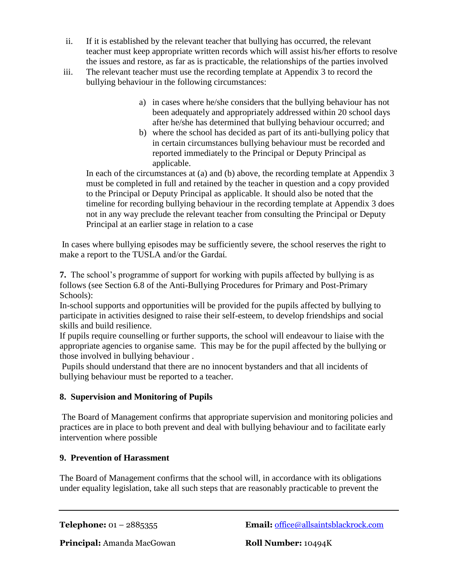- ii. If it is established by the relevant teacher that bullying has occurred, the relevant teacher must keep appropriate written records which will assist his/her efforts to resolve the issues and restore, as far as is practicable, the relationships of the parties involved
- iii. The relevant teacher must use the recording template at Appendix 3 to record the bullying behaviour in the following circumstances:
	- a) in cases where he/she considers that the bullying behaviour has not been adequately and appropriately addressed within 20 school days after he/she has determined that bullying behaviour occurred; and
	- b) where the school has decided as part of its anti-bullying policy that in certain circumstances bullying behaviour must be recorded and reported immediately to the Principal or Deputy Principal as applicable.

In each of the circumstances at (a) and (b) above, the recording template at Appendix 3 must be completed in full and retained by the teacher in question and a copy provided to the Principal or Deputy Principal as applicable. It should also be noted that the timeline for recording bullying behaviour in the recording template at Appendix 3 does not in any way preclude the relevant teacher from consulting the Principal or Deputy Principal at an earlier stage in relation to a case

In cases where bullying episodes may be sufficiently severe, the school reserves the right to make a report to the TUSLA and/or the Gardaί.

**7.** The school's programme of support for working with pupils affected by bullying is as follows (see Section 6.8 of the Anti-Bullying Procedures for Primary and Post-Primary Schools):

In-school supports and opportunities will be provided for the pupils affected by bullying to participate in activities designed to raise their self-esteem, to develop friendships and social skills and build resilience.

If pupils require counselling or further supports, the school will endeavour to liaise with the appropriate agencies to organise same. This may be for the pupil affected by the bullying or those involved in bullying behaviour .

Pupils should understand that there are no innocent bystanders and that all incidents of bullying behaviour must be reported to a teacher.

# **8. Supervision and Monitoring of Pupils**

The Board of Management confirms that appropriate supervision and monitoring policies and practices are in place to both prevent and deal with bullying behaviour and to facilitate early intervention where possible

# **9. Prevention of Harassment**

The Board of Management confirms that the school will, in accordance with its obligations under equality legislation, take all such steps that are reasonably practicable to prevent the

**Telephone:** 01 – 2885355 **Email:** [office@allsaintsblackrock.com](mailto:office@allsaintsblackrock.com)